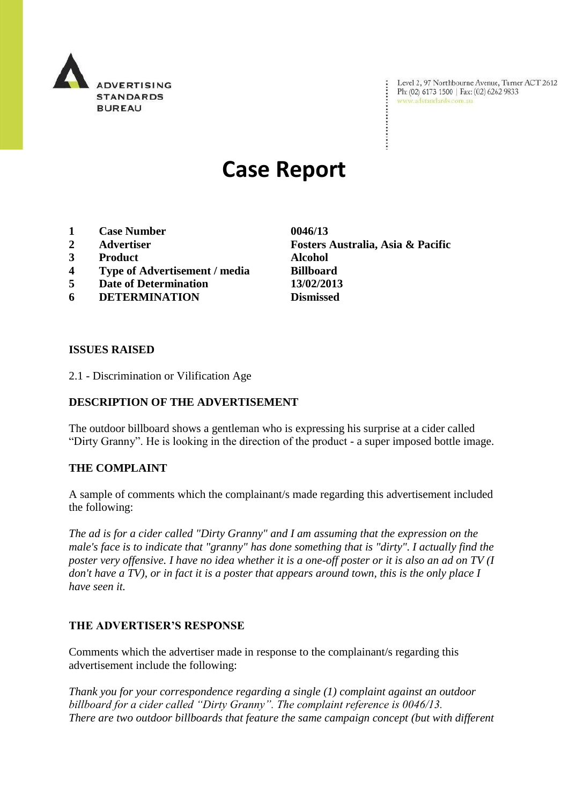

Level 2, 97 Northbourne Avenue, Turner ACT 2612 Ph: (02) 6173 1500 | Fax: (02) 6262 9833 www.adstandards.com.au

# **Case Report**

- **1 Case Number 0046/13**
- 
- **3 Product Alcohol**
- **4 Type of Advertisement / media Billboard**
- **5 Date of Determination 13/02/2013**
- **6 DETERMINATION Dismissed**

**2 Advertiser Fosters Australia, Asia & Pacific**

### **ISSUES RAISED**

2.1 - Discrimination or Vilification Age

## **DESCRIPTION OF THE ADVERTISEMENT**

The outdoor billboard shows a gentleman who is expressing his surprise at a cider called "Dirty Granny". He is looking in the direction of the product - a super imposed bottle image.

#### **THE COMPLAINT**

A sample of comments which the complainant/s made regarding this advertisement included the following:

*The ad is for a cider called "Dirty Granny" and I am assuming that the expression on the male's face is to indicate that "granny" has done something that is "dirty". I actually find the poster very offensive. I have no idea whether it is a one-off poster or it is also an ad on TV (I don't have a TV), or in fact it is a poster that appears around town, this is the only place I have seen it.*

## **THE ADVERTISER'S RESPONSE**

Comments which the advertiser made in response to the complainant/s regarding this advertisement include the following:

*Thank you for your correspondence regarding a single (1) complaint against an outdoor billboard for a cider called "Dirty Granny". The complaint reference is 0046/13. There are two outdoor billboards that feature the same campaign concept (but with different*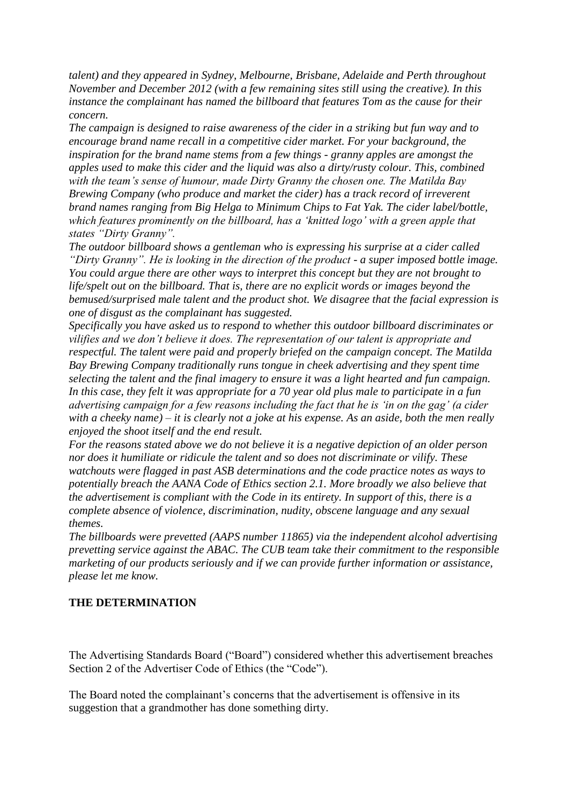*talent) and they appeared in Sydney, Melbourne, Brisbane, Adelaide and Perth throughout November and December 2012 (with a few remaining sites still using the creative). In this instance the complainant has named the billboard that features Tom as the cause for their concern.*

*The campaign is designed to raise awareness of the cider in a striking but fun way and to encourage brand name recall in a competitive cider market. For your background, the inspiration for the brand name stems from a few things - granny apples are amongst the apples used to make this cider and the liquid was also a dirty/rusty colour. This, combined with the team"s sense of humour, made Dirty Granny the chosen one. The Matilda Bay Brewing Company (who produce and market the cider) has a track record of irreverent brand names ranging from Big Helga to Minimum Chips to Fat Yak. The cider label/bottle, which features prominently on the billboard, has a "knitted logo" with a green apple that states "Dirty Granny".*

*The outdoor billboard shows a gentleman who is expressing his surprise at a cider called "Dirty Granny". He is looking in the direction of the product - a super imposed bottle image. You could argue there are other ways to interpret this concept but they are not brought to life/spelt out on the billboard. That is, there are no explicit words or images beyond the bemused/surprised male talent and the product shot. We disagree that the facial expression is one of disgust as the complainant has suggested.*

*Specifically you have asked us to respond to whether this outdoor billboard discriminates or vilifies and we don"t believe it does. The representation of our talent is appropriate and respectful. The talent were paid and properly briefed on the campaign concept. The Matilda Bay Brewing Company traditionally runs tongue in cheek advertising and they spent time selecting the talent and the final imagery to ensure it was a light hearted and fun campaign. In this case, they felt it was appropriate for a 70 year old plus male to participate in a fun advertising campaign for a few reasons including the fact that he is "in on the gag" (a cider with a cheeky name) – it is clearly not a joke at his expense. As an aside, both the men really enjoyed the shoot itself and the end result.*

*For the reasons stated above we do not believe it is a negative depiction of an older person nor does it humiliate or ridicule the talent and so does not discriminate or vilify. These watchouts were flagged in past ASB determinations and the code practice notes as ways to potentially breach the AANA Code of Ethics section 2.1. More broadly we also believe that the advertisement is compliant with the Code in its entirety. In support of this, there is a complete absence of violence, discrimination, nudity, obscene language and any sexual themes.*

*The billboards were prevetted (AAPS number 11865) via the independent alcohol advertising prevetting service against the ABAC. The CUB team take their commitment to the responsible marketing of our products seriously and if we can provide further information or assistance, please let me know.*

#### **THE DETERMINATION**

The Advertising Standards Board ("Board") considered whether this advertisement breaches Section 2 of the Advertiser Code of Ethics (the "Code").

The Board noted the complainant's concerns that the advertisement is offensive in its suggestion that a grandmother has done something dirty.